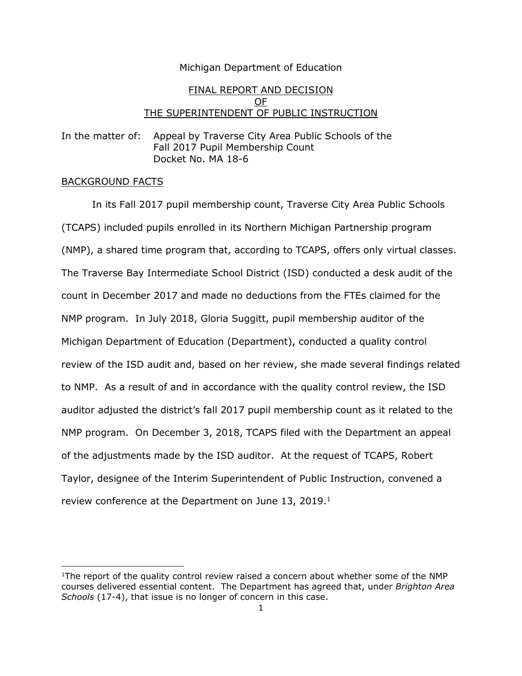## Michigan Department of Education

# FINAL REPORT AND DECISION OF THE SUPERINTENDENT OF PUBLIC INSTRUCTION

In the matter of: Appeal by Traverse City Area Public Schools of the Fall 2017 Pupil Membership Count Docket No. MA 18-6

### BACKGROUND FACTS

 $\overline{\phantom{a}}$ 

In its Fall 2017 pupil membership count, Traverse City Area Public Schools (TCAPS) included pupils enrolled in its Northern Michigan Partnership program (NMP), a shared time program that, according to TCAPS, offers only virtual classes. The Traverse Bay Intermediate School District (ISD) conducted a desk audit of the count in December 2017 and made no deductions from the FTEs claimed for the NMP program. In July 2018, Gloria Suggitt, pupil membership auditor of the Michigan Department of Education (Department), conducted a quality control review of the ISD audit and, based on her review, she made several findings related to NMP. As a result of and in accordance with the quality control review, the ISD auditor adjusted the district's fall 2017 pupil membership count as it related to the NMP program. On December 3, 2018, TCAPS filed with the Department an appeal of the adjustments made by the ISD auditor. At the request of TCAPS, Robert Taylor, designee of the Interim Superintendent of Public Instruction, convened a review conference at the Department on June 13, 2019.<sup>1</sup>

<sup>&</sup>lt;sup>1</sup>The report of the quality control review raised a concern about whether some of the NMP courses delivered essential content. The Department has agreed that, under *Brighton Area Schools* (17-4), that issue is no longer of concern in this case.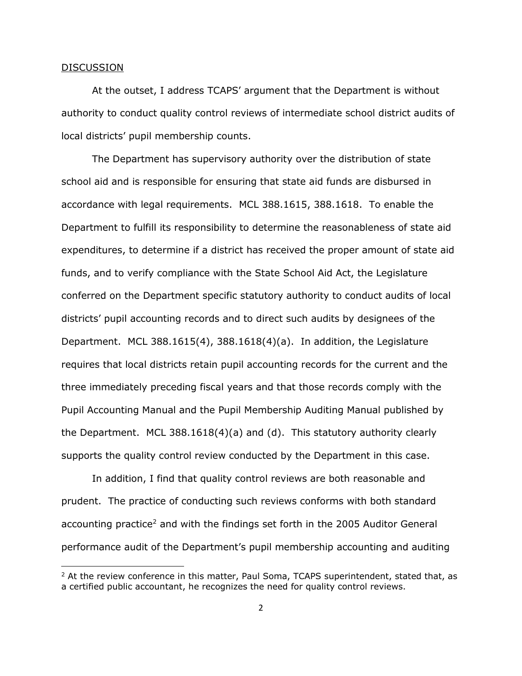#### DISCUSSION

 $\overline{\phantom{a}}$ 

At the outset, I address TCAPS' argument that the Department is without authority to conduct quality control reviews of intermediate school district audits of local districts' pupil membership counts.

The Department has supervisory authority over the distribution of state school aid and is responsible for ensuring that state aid funds are disbursed in accordance with legal requirements. MCL 388.1615, 388.1618. To enable the Department to fulfill its responsibility to determine the reasonableness of state aid expenditures, to determine if a district has received the proper amount of state aid funds, and to verify compliance with the State School Aid Act, the Legislature conferred on the Department specific statutory authority to conduct audits of local districts' pupil accounting records and to direct such audits by designees of the Department. MCL 388.1615(4), 388.1618(4)(a). In addition, the Legislature requires that local districts retain pupil accounting records for the current and the three immediately preceding fiscal years and that those records comply with the Pupil Accounting Manual and the Pupil Membership Auditing Manual published by the Department. MCL 388.1618(4)(a) and (d). This statutory authority clearly supports the quality control review conducted by the Department in this case.

In addition, I find that quality control reviews are both reasonable and prudent. The practice of conducting such reviews conforms with both standard accounting practice<sup>2</sup> and with the findings set forth in the 2005 Auditor General performance audit of the Department's pupil membership accounting and auditing

 $2$  At the review conference in this matter, Paul Soma, TCAPS superintendent, stated that, as a certified public accountant, he recognizes the need for quality control reviews.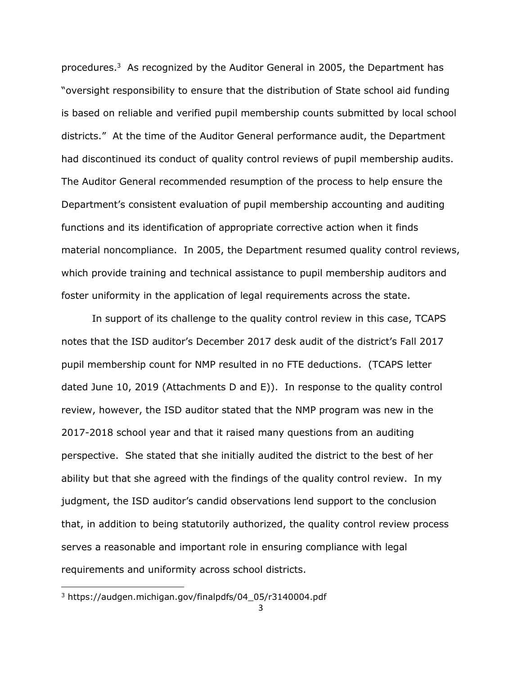procedures.<sup>3</sup> As recognized by the Auditor General in 2005, the Department has "oversight responsibility to ensure that the distribution of State school aid funding is based on reliable and verified pupil membership counts submitted by local school districts." At the time of the Auditor General performance audit, the Department had discontinued its conduct of quality control reviews of pupil membership audits. The Auditor General recommended resumption of the process to help ensure the Department's consistent evaluation of pupil membership accounting and auditing functions and its identification of appropriate corrective action when it finds material noncompliance. In 2005, the Department resumed quality control reviews, which provide training and technical assistance to pupil membership auditors and foster uniformity in the application of legal requirements across the state.

In support of its challenge to the quality control review in this case, TCAPS notes that the ISD auditor's December 2017 desk audit of the district's Fall 2017 pupil membership count for NMP resulted in no FTE deductions. (TCAPS letter dated June 10, 2019 (Attachments D and E)). In response to the quality control review, however, the ISD auditor stated that the NMP program was new in the 2017-2018 school year and that it raised many questions from an auditing perspective. She stated that she initially audited the district to the best of her ability but that she agreed with the findings of the quality control review. In my judgment, the ISD auditor's candid observations lend support to the conclusion that, in addition to being statutorily authorized, the quality control review process serves a reasonable and important role in ensuring compliance with legal requirements and uniformity across school districts.

 $\overline{\phantom{a}}$ 

<sup>3</sup> [https://audgen.michigan.gov/finalpdfs/04\\_05/r3140004.pdf](https://audgen.michigan.gov/finalpdfs/04_05/r3140004.pdf)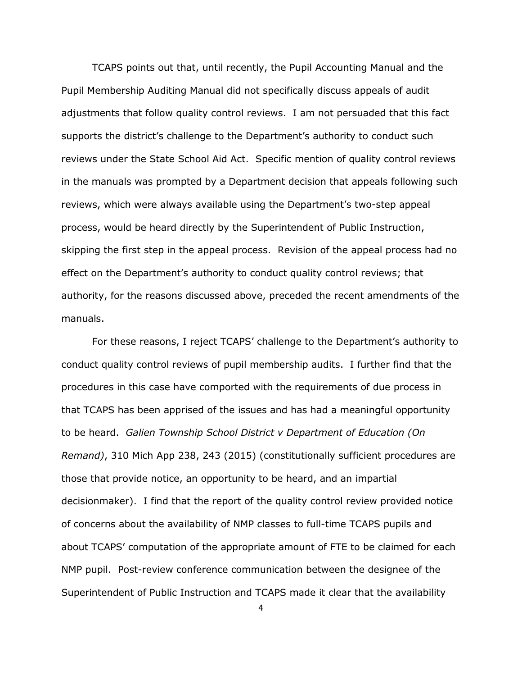TCAPS points out that, until recently, the Pupil Accounting Manual and the Pupil Membership Auditing Manual did not specifically discuss appeals of audit adjustments that follow quality control reviews. I am not persuaded that this fact supports the district's challenge to the Department's authority to conduct such reviews under the State School Aid Act. Specific mention of quality control reviews in the manuals was prompted by a Department decision that appeals following such reviews, which were always available using the Department's two-step appeal process, would be heard directly by the Superintendent of Public Instruction, skipping the first step in the appeal process. Revision of the appeal process had no effect on the Department's authority to conduct quality control reviews; that authority, for the reasons discussed above, preceded the recent amendments of the manuals.

For these reasons, I reject TCAPS' challenge to the Department's authority to conduct quality control reviews of pupil membership audits. I further find that the procedures in this case have comported with the requirements of due process in that TCAPS has been apprised of the issues and has had a meaningful opportunity to be heard. *Galien Township School District v Department of Education (On Remand)*, 310 Mich App 238, 243 (2015) (constitutionally sufficient procedures are those that provide notice, an opportunity to be heard, and an impartial decisionmaker). I find that the report of the quality control review provided notice of concerns about the availability of NMP classes to full-time TCAPS pupils and about TCAPS' computation of the appropriate amount of FTE to be claimed for each NMP pupil. Post-review conference communication between the designee of the Superintendent of Public Instruction and TCAPS made it clear that the availability

4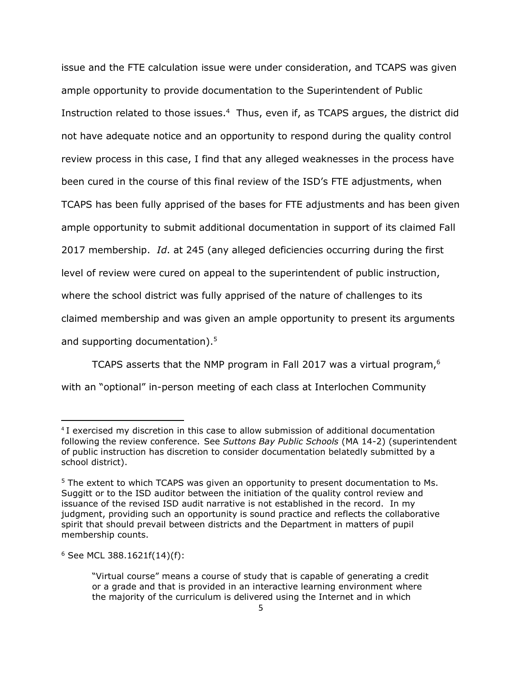issue and the FTE calculation issue were under consideration, and TCAPS was given ample opportunity to provide documentation to the Superintendent of Public Instruction related to those issues.<sup>4</sup> Thus, even if, as TCAPS argues, the district did not have adequate notice and an opportunity to respond during the quality control review process in this case, I find that any alleged weaknesses in the process have been cured in the course of this final review of the ISD's FTE adjustments, when TCAPS has been fully apprised of the bases for FTE adjustments and has been given ample opportunity to submit additional documentation in support of its claimed Fall 2017 membership. *Id*. at 245 (any alleged deficiencies occurring during the first level of review were cured on appeal to the superintendent of public instruction, where the school district was fully apprised of the nature of challenges to its claimed membership and was given an ample opportunity to present its arguments and supporting documentation).<sup>5</sup>

TCAPS asserts that the NMP program in Fall 2017 was a virtual program, $6$ with an "optional" in-person meeting of each class at Interlochen Community

 $\overline{a}$ 

<sup>&</sup>lt;sup>4</sup> I exercised my discretion in this case to allow submission of additional documentation following the review conference. See *Suttons Bay Public Schools* (MA 14-2) (superintendent of public instruction has discretion to consider documentation belatedly submitted by a school district).

<sup>&</sup>lt;sup>5</sup> The extent to which TCAPS was given an opportunity to present documentation to Ms. Suggitt or to the ISD auditor between the initiation of the quality control review and issuance of the revised ISD audit narrative is not established in the record. In my judgment, providing such an opportunity is sound practice and reflects the collaborative spirit that should prevail between districts and the Department in matters of pupil membership counts.

 $6$  See MCL 388.1621f(14)(f):

<sup>&</sup>quot;Virtual course" means a course of study that is capable of generating a credit or a grade and that is provided in an interactive learning environment where the majority of the curriculum is delivered using the Internet and in which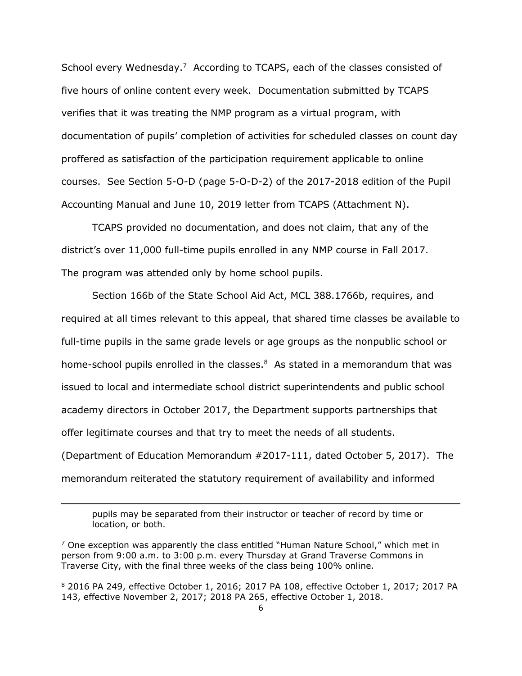School every Wednesday.<sup>7</sup> According to TCAPS, each of the classes consisted of five hours of online content every week. Documentation submitted by TCAPS verifies that it was treating the NMP program as a virtual program, with documentation of pupils' completion of activities for scheduled classes on count day proffered as satisfaction of the participation requirement applicable to online courses. See Section 5-O-D (page 5-O-D-2) of the 2017-2018 edition of the Pupil Accounting Manual and June 10, 2019 letter from TCAPS (Attachment N).

TCAPS provided no documentation, and does not claim, that any of the district's over 11,000 full-time pupils enrolled in any NMP course in Fall 2017. The program was attended only by home school pupils.

Section 166b of the State School Aid Act, MCL 388.1766b, requires, and required at all times relevant to this appeal, that shared time classes be available to full-time pupils in the same grade levels or age groups as the nonpublic school or home-school pupils enrolled in the classes. $8$  As stated in a memorandum that was issued to local and intermediate school district superintendents and public school academy directors in October 2017, the Department supports partnerships that offer legitimate courses and that try to meet the needs of all students. (Department of Education Memorandum #2017-111, dated October 5, 2017). The memorandum reiterated the statutory requirement of availability and informed

 $\overline{a}$ 

<sup>8</sup> 2016 PA 249, effective October 1, 2016; 2017 PA 108, effective October 1, 2017; 2017 PA 143, effective November 2, 2017; 2018 PA 265, effective October 1, 2018.

pupils may be separated from their instructor or teacher of record by time or location, or both.

 $7$  One exception was apparently the class entitled "Human Nature School," which met in person from 9:00 a.m. to 3:00 p.m. every Thursday at Grand Traverse Commons in Traverse City, with the final three weeks of the class being 100% online.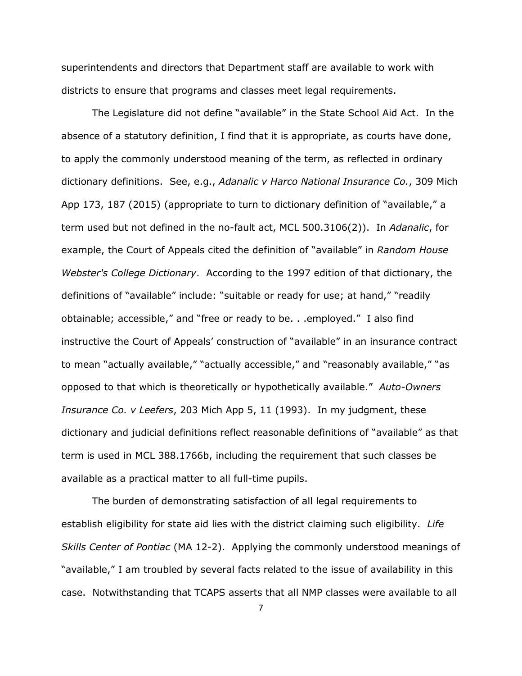superintendents and directors that Department staff are available to work with districts to ensure that programs and classes meet legal requirements.

The Legislature did not define "available" in the State School Aid Act. In the absence of a statutory definition, I find that it is appropriate, as courts have done, to apply the commonly understood meaning of the term, as reflected in ordinary dictionary definitions. See, e.g., *Adanalic v Harco National Insurance Co.*, 309 Mich App 173, 187 (2015) (appropriate to turn to dictionary definition of "available," a term used but not defined in the no-fault act, MCL 500.3106(2)). In *Adanalic*, for example, the Court of Appeals cited the definition of "available" in *Random House Webster's College Dictionary*. According to the 1997 edition of that dictionary, the definitions of "available" include: "suitable or ready for use; at hand," "readily obtainable; accessible," and "free or ready to be. . .employed." I also find instructive the Court of Appeals' construction of "available" in an insurance contract to mean "actually available," "actually accessible," and "reasonably available," "as opposed to that which is theoretically or hypothetically available." *Auto-Owners Insurance Co. v Leefers*, 203 Mich App 5, 11 (1993). In my judgment, these dictionary and judicial definitions reflect reasonable definitions of "available" as that term is used in MCL 388.1766b, including the requirement that such classes be available as a practical matter to all full-time pupils.

The burden of demonstrating satisfaction of all legal requirements to establish eligibility for state aid lies with the district claiming such eligibility. *Life Skills Center of Pontiac* (MA 12-2). Applying the commonly understood meanings of "available," I am troubled by several facts related to the issue of availability in this case. Notwithstanding that TCAPS asserts that all NMP classes were available to all

7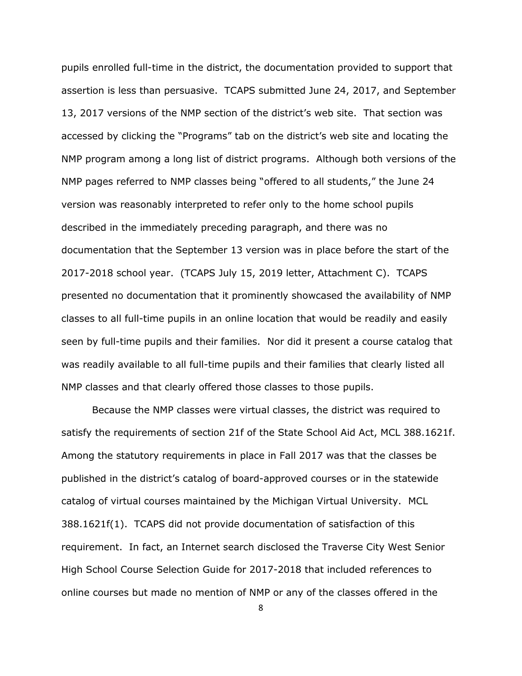pupils enrolled full-time in the district, the documentation provided to support that assertion is less than persuasive. TCAPS submitted June 24, 2017, and September 13, 2017 versions of the NMP section of the district's web site. That section was accessed by clicking the "Programs" tab on the district's web site and locating the NMP program among a long list of district programs. Although both versions of the NMP pages referred to NMP classes being "offered to all students," the June 24 version was reasonably interpreted to refer only to the home school pupils described in the immediately preceding paragraph, and there was no documentation that the September 13 version was in place before the start of the 2017-2018 school year. (TCAPS July 15, 2019 letter, Attachment C). TCAPS presented no documentation that it prominently showcased the availability of NMP classes to all full-time pupils in an online location that would be readily and easily seen by full-time pupils and their families. Nor did it present a course catalog that was readily available to all full-time pupils and their families that clearly listed all NMP classes and that clearly offered those classes to those pupils.

Because the NMP classes were virtual classes, the district was required to satisfy the requirements of section 21f of the State School Aid Act, MCL 388.1621f. Among the statutory requirements in place in Fall 2017 was that the classes be published in the district's catalog of board-approved courses or in the statewide catalog of virtual courses maintained by the Michigan Virtual University. MCL 388.1621f(1). TCAPS did not provide documentation of satisfaction of this requirement. In fact, an Internet search disclosed the Traverse City West Senior High School Course Selection Guide for 2017-2018 that included references to online courses but made no mention of NMP or any of the classes offered in the

8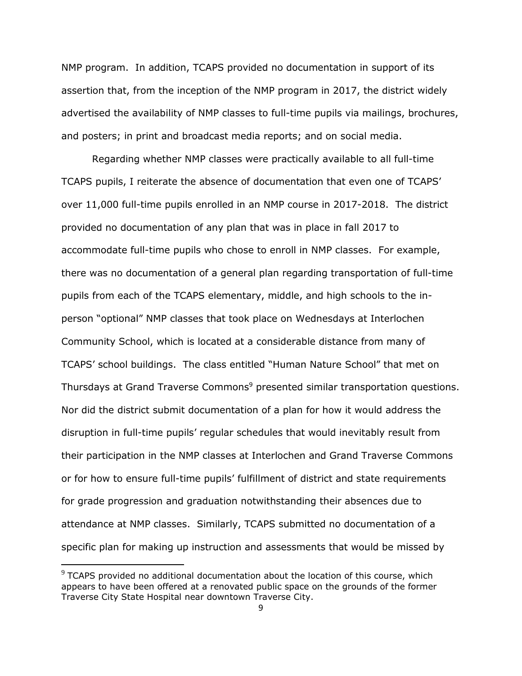NMP program. In addition, TCAPS provided no documentation in support of its assertion that, from the inception of the NMP program in 2017, the district widely advertised the availability of NMP classes to full-time pupils via mailings, brochures, and posters; in print and broadcast media reports; and on social media.

Regarding whether NMP classes were practically available to all full-time TCAPS pupils, I reiterate the absence of documentation that even one of TCAPS' over 11,000 full-time pupils enrolled in an NMP course in 2017-2018. The district provided no documentation of any plan that was in place in fall 2017 to accommodate full-time pupils who chose to enroll in NMP classes. For example, there was no documentation of a general plan regarding transportation of full-time pupils from each of the TCAPS elementary, middle, and high schools to the inperson "optional" NMP classes that took place on Wednesdays at Interlochen Community School, which is located at a considerable distance from many of TCAPS' school buildings. The class entitled "Human Nature School" that met on Thursdays at Grand Traverse Commons<sup>9</sup> presented similar transportation questions. Nor did the district submit documentation of a plan for how it would address the disruption in full-time pupils' regular schedules that would inevitably result from their participation in the NMP classes at Interlochen and Grand Traverse Commons or for how to ensure full-time pupils' fulfillment of district and state requirements for grade progression and graduation notwithstanding their absences due to attendance at NMP classes. Similarly, TCAPS submitted no documentation of a specific plan for making up instruction and assessments that would be missed by

 $\overline{a}$ 

 $9$  TCAPS provided no additional documentation about the location of this course, which appears to have been offered at a renovated public space on the grounds of the former Traverse City State Hospital near downtown Traverse City.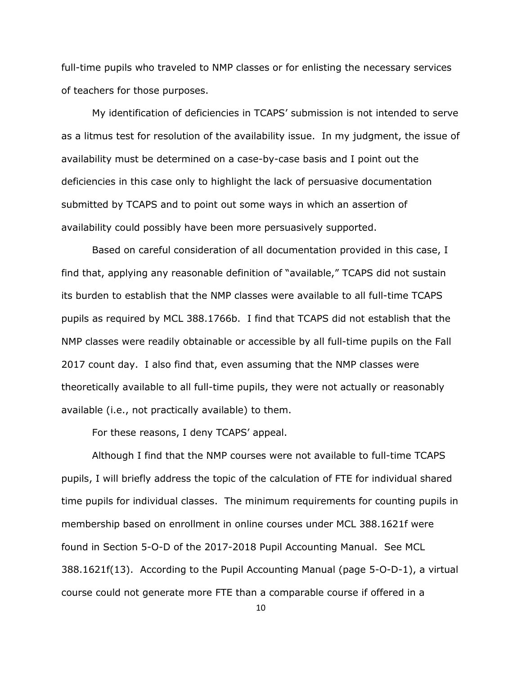full-time pupils who traveled to NMP classes or for enlisting the necessary services of teachers for those purposes.

My identification of deficiencies in TCAPS' submission is not intended to serve as a litmus test for resolution of the availability issue. In my judgment, the issue of availability must be determined on a case-by-case basis and I point out the deficiencies in this case only to highlight the lack of persuasive documentation submitted by TCAPS and to point out some ways in which an assertion of availability could possibly have been more persuasively supported.

Based on careful consideration of all documentation provided in this case, I find that, applying any reasonable definition of "available," TCAPS did not sustain its burden to establish that the NMP classes were available to all full-time TCAPS pupils as required by MCL 388.1766b. I find that TCAPS did not establish that the NMP classes were readily obtainable or accessible by all full-time pupils on the Fall 2017 count day. I also find that, even assuming that the NMP classes were theoretically available to all full-time pupils, they were not actually or reasonably available (i.e., not practically available) to them.

For these reasons, I deny TCAPS' appeal.

Although I find that the NMP courses were not available to full-time TCAPS pupils, I will briefly address the topic of the calculation of FTE for individual shared time pupils for individual classes. The minimum requirements for counting pupils in membership based on enrollment in online courses under MCL 388.1621f were found in Section 5-O-D of the 2017-2018 Pupil Accounting Manual. See MCL 388.1621f(13). According to the Pupil Accounting Manual (page 5-O-D-1), a virtual course could not generate more FTE than a comparable course if offered in a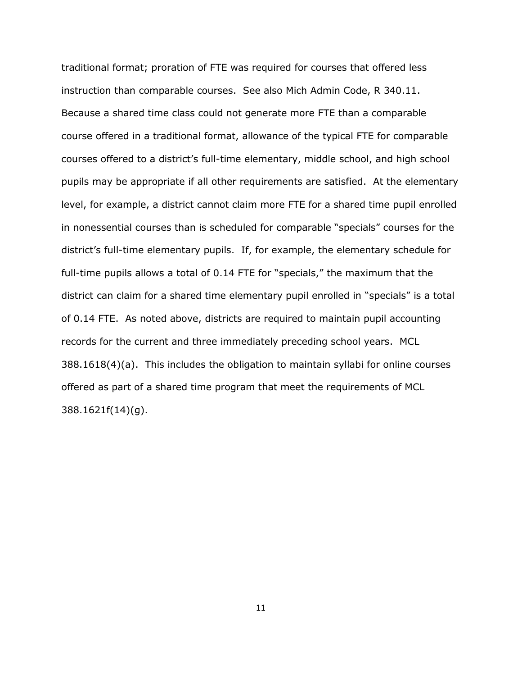traditional format; proration of FTE was required for courses that offered less instruction than comparable courses. See also Mich Admin Code, R 340.11. Because a shared time class could not generate more FTE than a comparable course offered in a traditional format, allowance of the typical FTE for comparable courses offered to a district's full-time elementary, middle school, and high school pupils may be appropriate if all other requirements are satisfied. At the elementary level, for example, a district cannot claim more FTE for a shared time pupil enrolled in nonessential courses than is scheduled for comparable "specials" courses for the district's full-time elementary pupils. If, for example, the elementary schedule for full-time pupils allows a total of 0.14 FTE for "specials," the maximum that the district can claim for a shared time elementary pupil enrolled in "specials" is a total of 0.14 FTE. As noted above, districts are required to maintain pupil accounting records for the current and three immediately preceding school years. MCL 388.1618(4)(a). This includes the obligation to maintain syllabi for online courses offered as part of a shared time program that meet the requirements of MCL 388.1621f(14)(g).